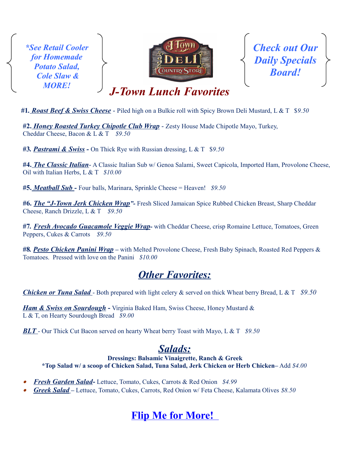*\*See Retail Cooler for Homemade Potato Salad, Cole Slaw & MORE!*



*Check out Our Daily Specials Board!*

*J-Town Lunch Favorites* 

 **#1***. Roast Beef & Swiss Cheese* - Piled high on a Bulkie roll with Spicy Brown Deli Mustard, L & T \$*9.50*

**#2.** *Honey Roasted Turkey Chipotle Club Wrap* - Zesty House Made Chipotle Mayo, Turkey, Cheddar Cheese, Bacon & L & T *\$9.50* 

**#3***. Pastrami & Swiss -* On Thick Rye with Russian dressing, L & T\$*9.50*

**#4.** *The Classic Italian*- A Classic Italian Sub w/ Genoa Salami, Sweet Capicola, Imported Ham, Provolone Cheese, Oil with Italian Herbs, L & T *\$10.00*

**#5.** *Meatball Sub -* Four balls, Marinara, Sprinkle Cheese = Heaven! *\$9.50*

**#6.** *The "J-Town Jerk Chicken Wrap"-* Fresh Sliced Jamaican Spice Rubbed Chicken Breast, Sharp Cheddar Cheese, Ranch Drizzle, L & T *\$9.50* 

**#7***. Fresh Avocado Guacamole Veggie Wrap-* with Cheddar Cheese, crisp Romaine Lettuce, Tomatoes, Green Peppers, Cukes & Carrots *\$9.50*

**#8***. Pesto Chicken Panini Wrap –* with Melted Provolone Cheese, Fresh Baby Spinach, Roasted Red Peppers & Tomatoes. Pressed with love on the Panini *\$10.00*

## *Other Favorites:*

*Chicken or Tuna Salad* - Both prepared with light celery & served on thick Wheat berry Bread, L & T *\$9.50*

*Ham & Swiss on Sourdough* **-** Virginia Baked Ham, Swiss Cheese, Honey Mustard & L & T, on Hearty Sourdough Bread *\$9.00*

*BLT* - Our Thick Cut Bacon served on hearty Wheat berry Toast with Mayo, L & T *\$9.50*

## *Salads:*

**Dressings: Balsamic Vinaigrette, Ranch & Greek \*Top Salad w/ a scoop of Chicken Salad, Tuna Salad, Jerk Chicken or Herb Chicken–** Add *\$4.00*

- 0 *Fresh Garden Salad***-** Lettuce, Tomato, Cukes, Carrots & Red Onion*\$4.99*
- *Greek Salad* Lettuce, Tomato, Cukes, Carrots, Red Onion w/ Feta Cheese, Kalamata Olives *\$8.50*

# **Flip Me for More!**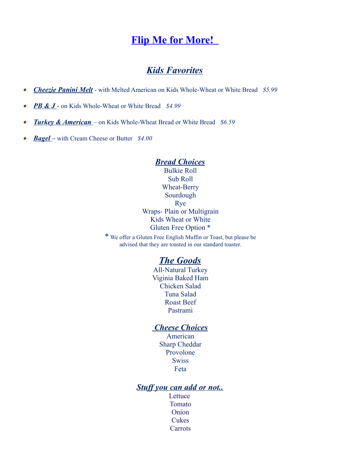## **Flip Me for More!**

## *Kids Favorites*

- $\bullet$ *Cheezie Panini Melt* - with Melted American on Kids Whole-Wheat or White Bread *\$5.99*
- $\bullet$ *PB & J* - on Kids Whole-Wheat or White Bread*\$4.99*
- $\bullet$ *Turkey & American* – on Kids Whole-Wheat Bread or White Bread *\$6.59*
- *Bagel* with Cream Cheese or Butter *\$4.00*

#### *Bread Choices*

Bulkie Roll Sub Roll Wheat-Berry Sourdough Rye Wraps- Plain or Multigrain Kids Wheat or White Gluten Free Option \*

\* We offer a Gluten Free English Muffin or Toast, but please be advised that they are toasted in our standard toaster.

### *The Goods*

All-Natural Turkey Viginia Baked Ham Chicken Salad Tuna Salad Roast Beef Pastrami

### *Cheese Choices*

American Sharp Cheddar Provolone **Swiss** Feta

### *Stuff you can add or not..*

**Lettuce** Tomato Onion Cukes Carrots